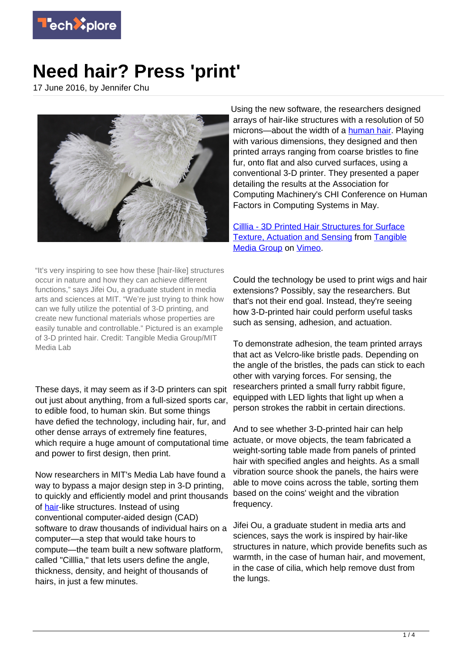

## **Need hair? Press 'print'**

17 June 2016, by Jennifer Chu



"It's very inspiring to see how these [hair-like] structures occur in nature and how they can achieve different functions," says Jifei Ou, a graduate student in media arts and sciences at MIT. "We're just trying to think how can we fully utilize the potential of 3-D printing, and create new functional materials whose properties are easily tunable and controllable." Pictured is an example of 3-D printed hair. Credit: Tangible Media Group/MIT Media Lab

These days, it may seem as if 3-D printers can spit out just about anything, from a full-sized sports car, to edible food, to human skin. But some things have defied the technology, including hair, fur, and other dense arrays of extremely fine features, which require a huge amount of computational time and power to first design, then print.

Now researchers in MIT's Media Lab have found a way to bypass a major design step in 3-D printing, to quickly and efficiently model and print thousands of [hair-](https://techxplore.com/tags/hair/)like structures. Instead of using conventional computer-aided design (CAD) software to draw thousands of individual hairs on a computer—a step that would take hours to compute—the team built a new software platform, called "Cilllia," that lets users define the angle, thickness, density, and height of thousands of hairs, in just a few minutes.

Using the new software, the researchers designed arrays of hair-like structures with a resolution of 50 microns—about the width of a [human hair](https://techxplore.com/tags/human+hair/). Playing with various dimensions, they designed and then printed arrays ranging from coarse bristles to fine fur, onto flat and also curved surfaces, using a conventional 3-D printer. They presented a paper detailing the results at the Association for Computing Machinery's CHI Conference on Human Factors in Computing Systems in May.

[Cilllia - 3D Printed Hair Structures for Surface](https://vimeo.com/166604922) [Texture, Actuation and Sensing](https://vimeo.com/166604922) from [Tangible](https://vimeo.com/tangiblemedia) [Media Group](https://vimeo.com/tangiblemedia) on [Vimeo.](https://vimeo.com)

Could the technology be used to print wigs and hair extensions? Possibly, say the researchers. But that's not their end goal. Instead, they're seeing how 3-D-printed hair could perform useful tasks such as sensing, adhesion, and actuation.

To demonstrate adhesion, the team printed arrays that act as Velcro-like bristle pads. Depending on the angle of the bristles, the pads can stick to each other with varying forces. For sensing, the researchers printed a small furry rabbit figure, equipped with LED lights that light up when a person strokes the rabbit in certain directions.

And to see whether 3-D-printed hair can help actuate, or move objects, the team fabricated a weight-sorting table made from panels of printed hair with specified angles and heights. As a small vibration source shook the panels, the hairs were able to move coins across the table, sorting them based on the coins' weight and the vibration frequency.

Jifei Ou, a graduate student in media arts and sciences, says the work is inspired by hair-like structures in nature, which provide benefits such as warmth, in the case of human hair, and movement, in the case of cilia, which help remove dust from the lungs.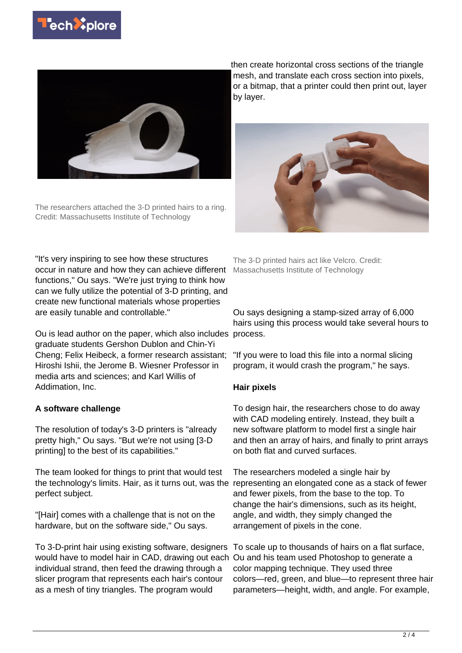



The researchers attached the 3-D printed hairs to a ring. Credit: Massachusetts Institute of Technology

then create horizontal cross sections of the triangle mesh, and translate each cross section into pixels, or a bitmap, that a printer could then print out, layer by layer.



"It's very inspiring to see how these structures occur in nature and how they can achieve different functions," Ou says. "We're just trying to think how can we fully utilize the potential of 3-D printing, and create new functional materials whose properties are easily tunable and controllable."

Ou is lead author on the paper, which also includes process. graduate students Gershon Dublon and Chin-Yi Cheng; Felix Heibeck, a former research assistant; Hiroshi Ishii, the Jerome B. Wiesner Professor in media arts and sciences; and Karl Willis of Addimation, Inc.

## **A software challenge**

The resolution of today's 3-D printers is "already pretty high," Ou says. "But we're not using [3-D printing] to the best of its capabilities."

The team looked for things to print that would test the technology's limits. Hair, as it turns out, was the representing an elongated cone as a stack of fewer perfect subject.

"[Hair] comes with a challenge that is not on the hardware, but on the software side," Ou says.

To 3-D-print hair using existing software, designers To scale up to thousands of hairs on a flat surface, would have to model hair in CAD, drawing out each Ou and his team used Photoshop to generate a individual strand, then feed the drawing through a slicer program that represents each hair's contour as a mesh of tiny triangles. The program would

The 3-D printed hairs act like Velcro. Credit: Massachusetts Institute of Technology

Ou says designing a stamp-sized array of 6,000 hairs using this process would take several hours to

"If you were to load this file into a normal slicing program, it would crash the program," he says.

## **Hair pixels**

To design hair, the researchers chose to do away with CAD modeling entirely. Instead, they built a new software platform to model first a single hair and then an array of hairs, and finally to print arrays on both flat and curved surfaces.

The researchers modeled a single hair by and fewer pixels, from the base to the top. To change the hair's dimensions, such as its height, angle, and width, they simply changed the arrangement of pixels in the cone.

color mapping technique. They used three colors—red, green, and blue—to represent three hair parameters—height, width, and angle. For example,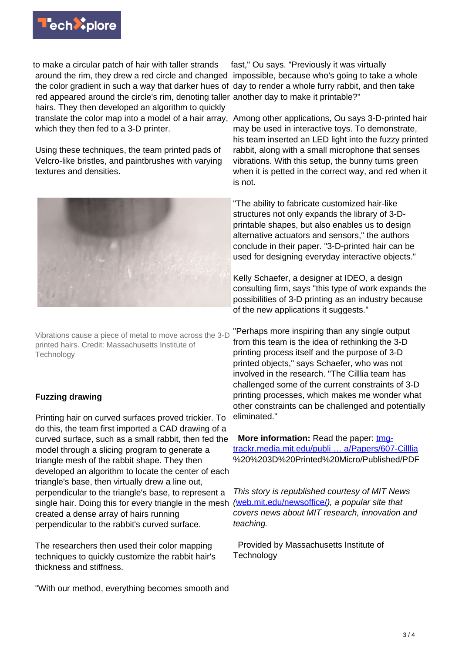

to make a circular patch of hair with taller strands around the rim, they drew a red circle and changed impossible, because who's going to take a whole the color gradient in such a way that darker hues of day to render a whole furry rabbit, and then take red appeared around the circle's rim, denoting taller another day to make it printable?" hairs. They then developed an algorithm to quickly which they then fed to a 3-D printer.

Using these techniques, the team printed pads of Velcro-like bristles, and paintbrushes with varying textures and densities.



Vibrations cause a piece of metal to move across the 3-D printed hairs. Credit: Massachusetts Institute of **Technology** 

## **Fuzzing drawing**

Printing hair on curved surfaces proved trickier. To do this, the team first imported a CAD drawing of a curved surface, such as a small rabbit, then fed the model through a slicing program to generate a triangle mesh of the rabbit shape. They then developed an algorithm to locate the center of each triangle's base, then virtually drew a line out, perpendicular to the triangle's base, to represent a single hair. Doing this for every triangle in the mesh ([web.mit.edu/newsoffice/](http://web.mit.edu/newsoffice/)), a popular site that created a dense array of hairs running perpendicular to the rabbit's curved surface.

The researchers then used their color mapping techniques to quickly customize the rabbit hair's thickness and stiffness.

"With our method, everything becomes smooth and

fast," Ou says. "Previously it was virtually

translate the color map into a model of a hair array, Among other applications, Ou says 3-D-printed hair may be used in interactive toys. To demonstrate, his team inserted an LED light into the fuzzy printed rabbit, along with a small microphone that senses vibrations. With this setup, the bunny turns green when it is petted in the correct way, and red when it is not.

> "The ability to fabricate customized hair-like structures not only expands the library of 3-Dprintable shapes, but also enables us to design alternative actuators and sensors," the authors conclude in their paper. "3-D-printed hair can be used for designing everyday interactive objects."

Kelly Schaefer, a designer at IDEO, a design consulting firm, says "this type of work expands the possibilities of 3-D printing as an industry because of the new applications it suggests."

"Perhaps more inspiring than any single output from this team is the idea of rethinking the 3-D printing process itself and the purpose of 3-D printed objects," says Schaefer, who was not involved in the research. "The Cilllia team has challenged some of the current constraints of 3-D printing processes, which makes me wonder what other constraints can be challenged and potentially eliminated."

**More information:** Read the paper: [tmg](http://tmg-trackr.media.mit.edu/publishedmedia/Papers/607-Cilllia)[trackr.media.mit.edu/publi … a/Papers/607-Cilllia](http://tmg-trackr.media.mit.edu/publishedmedia/Papers/607-Cilllia) %20%203D%20Printed%20Micro/Published/PDF

This story is republished courtesy of MIT News covers news about MIT research, innovation and teaching.

 Provided by Massachusetts Institute of **Technology**